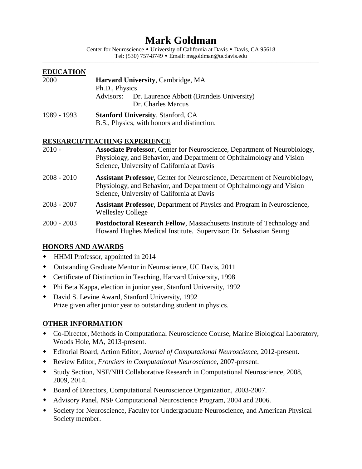# **Mark Goldman**

Center for Neuroscience • University of California at Davis • Davis, CA 95618 Tel: (530) 757-8749 Email: msgoldman@ucdavis.edu \_\_\_\_\_\_\_\_\_\_\_\_\_\_\_\_\_\_\_\_\_\_\_\_\_\_\_\_\_\_\_\_\_\_\_\_\_\_\_\_\_\_\_\_\_\_\_\_\_\_\_\_\_\_\_\_\_\_\_\_\_\_\_\_\_\_\_\_\_\_\_\_\_\_\_\_\_\_\_\_\_\_\_\_\_\_\_\_\_\_\_\_\_\_\_\_\_\_\_\_\_\_\_\_\_\_\_\_\_\_\_\_\_\_\_\_\_\_\_\_\_\_\_\_\_\_\_\_\_\_\_\_\_\_\_\_\_\_\_\_\_\_\_\_\_\_\_\_\_\_\_\_\_\_\_\_

| <b>EDUCATION</b>             |                                                            |                                                                           |  |
|------------------------------|------------------------------------------------------------|---------------------------------------------------------------------------|--|
| 2000                         | <b>Harvard University, Cambridge, MA</b><br>Ph.D., Physics |                                                                           |  |
|                              |                                                            |                                                                           |  |
|                              |                                                            | Advisors: Dr. Laurence Abbott (Brandeis University)<br>Dr. Charles Marcus |  |
| 1989 - 1993                  | <b>Stanford University, Stanford, CA</b>                   |                                                                           |  |
|                              | B.S., Physics, with honors and distinction.                |                                                                           |  |
| RESEARCH/TEACHING EXPERIENCE |                                                            |                                                                           |  |

## **RESEARCH/TEACHING EXPERIENCE**

| $2010 -$      | <b>Associate Professor, Center for Neuroscience, Department of Neurobiology,</b><br>Physiology, and Behavior, and Department of Ophthalmology and Vision<br>Science, University of California at Davis |
|---------------|--------------------------------------------------------------------------------------------------------------------------------------------------------------------------------------------------------|
| $2008 - 2010$ | <b>Assistant Professor, Center for Neuroscience, Department of Neurobiology,</b><br>Physiology, and Behavior, and Department of Ophthalmology and Vision<br>Science, University of California at Davis |
| $2003 - 2007$ | <b>Assistant Professor, Department of Physics and Program in Neuroscience,</b><br><b>Wellesley College</b>                                                                                             |
| $2000 - 2003$ | Postdoctoral Research Fellow, Massachusetts Institute of Technology and<br>Howard Hughes Medical Institute. Supervisor: Dr. Sebastian Seung                                                            |

## **HONORS AND AWARDS**

- HHMI Professor, appointed in 2014
- Outstanding Graduate Mentor in Neuroscience, UC Davis, 2011
- Certificate of Distinction in Teaching, Harvard University, 1998
- Phi Beta Kappa, election in junior year, Stanford University, 1992
- David S. Levine Award, Stanford University, 1992 Prize given after junior year to outstanding student in physics.

## **OTHER INFORMATION**

- Co-Director, Methods in Computational Neuroscience Course, Marine Biological Laboratory, Woods Hole, MA, 2013-present.
- Editorial Board, Action Editor, *Journal of Computational Neuroscience*, 2012-present.
- Review Editor, *Frontiers in Computational Neuroscience*, 2007-present.
- Study Section, NSF/NIH Collaborative Research in Computational Neuroscience, 2008, 2009, 2014.
- Board of Directors, Computational Neuroscience Organization, 2003-2007.
- Advisory Panel, NSF Computational Neuroscience Program, 2004 and 2006.
- Society for Neuroscience, Faculty for Undergraduate Neuroscience, and American Physical Society member.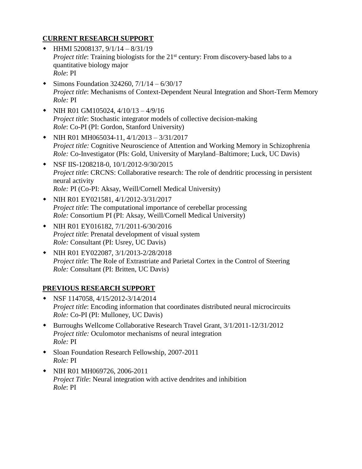### **CURRENT RESEARCH SUPPORT**

- $\bullet$  HHMI 52008137, 9/1/14 8/31/19 *Project title*: Training biologists for the 21<sup>st</sup> century: From discovery-based labs to a quantitative biology major *Role*: PI
- $\bullet$  Simons Foundation 324260, 7/1/14 6/30/17 *Project title*: Mechanisms of Context-Dependent Neural Integration and Short-Term Memory *Role:* PI
- NIH R01 GM105024,  $4/10/13 4/9/16$ *Project title*: Stochastic integrator models of collective decision-making *Role*: Co-PI (PI: Gordon, Stanford University)
- NIH R01 MH065034-11,  $4/1/2013 3/31/2017$ *Project title:* Cognitive Neuroscience of Attention and Working Memory in Schizophrenia *Role:* Co-Investigator (PIs: Gold, University of Maryland–Baltimore; Luck, UC Davis)
- NSF IIS-1208218-0, 10/1/2012-9/30/2015 *Project title*: CRCNS: Collaborative research: The role of dendritic processing in persistent neural activity *Role:* PI (Co-PI: Aksay, Weill/Cornell Medical University)
- NIH R01 EY021581, 4/1/2012-3/31/2017 *Project title*: The computational importance of cerebellar processing *Role:* Consortium PI (PI: Aksay, Weill/Cornell Medical University)
- NIH R01 EY016182, 7/1/2011-6/30/2016 *Project title*: Prenatal development of visual system *Role:* Consultant (PI: Usrey, UC Davis)
- NIH R01 EY022087, 3/1/2013-2/28/2018 *Project title*: The Role of Extrastriate and Parietal Cortex in the Control of Steering *Role:* Consultant (PI: Britten, UC Davis)

## **PREVIOUS RESEARCH SUPPORT**

- NSF 1147058, 4/15/2012-3/14/2014 *Project title*: Encoding information that coordinates distributed neural microcircuits *Role:* Co-PI (PI: Mulloney, UC Davis)
- Burroughs Wellcome Collaborative Research Travel Grant, 3/1/2011-12/31/2012 *Project title:* Oculomotor mechanisms of neural integration *Role:* PI
- Sloan Foundation Research Fellowship, 2007-2011 *Role:* PI
- NIH R01 MH069726, 2006-2011 *Project Title*: Neural integration with active dendrites and inhibition *Role*: PI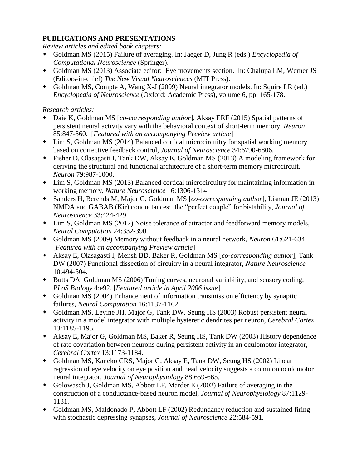### **PUBLICATIONS AND PRESENTATIONS**

*Review articles and edited book chapters:*

- Goldman MS (2015) Failure of averaging. In: Jaeger D, Jung R (eds.) *Encyclopedia of Computational Neuroscience* (Springer).
- Goldman MS (2013) Associate editor: Eye movements section. In: Chalupa LM, Werner JS (Editors-in-chief) *The New Visual Neurosciences* (MIT Press).
- Goldman MS, Compte A, Wang X-J (2009) Neural integrator models. In: Squire LR (ed.) *Encyclopedia of Neuroscience* (Oxford: Academic Press), volume 6, pp. 165-178.

## *Research articles:*

- Daie K, Goldman MS [*co-corresponding author*], Aksay ERF (2015) Spatial patterns of persistent neural activity vary with the behavioral context of short-term memory, *Neuron* 85:847-860. [*Featured with an accompanying Preview article*]
- Lim S, Goldman MS (2014) Balanced cortical microcircuitry for spatial working memory based on corrective feedback control, *Journal of Neuroscience* 34:6790-6806.
- Fisher D, Olasagasti I, Tank DW, Aksay E, Goldman MS (2013) A modeling framework for deriving the structural and functional architecture of a short-term memory microcircuit, *Neuron* 79:987-1000.
- Lim S, Goldman MS (2013) Balanced cortical microcircuitry for maintaining information in working memory, *Nature Neuroscience* 16:1306-1314.
- Sanders H, Berends M, Major G, Goldman MS [*co-corresponding author*], Lisman JE (2013) NMDA and GABAB (Kir) conductances: the "perfect couple" for bistability, *Journal of Neuroscience* 33:424-429.
- Lim S, Goldman MS (2012) Noise tolerance of attractor and feedforward memory models, *Neural Computation* 24:332-390.
- Goldman MS (2009) Memory without feedback in a neural network, *Neuron* 61:621-634. [*Featured with an accompanying Preview article*]
- Aksay E, Olasagasti I, Mensh BD, Baker R, Goldman MS [*co-corresponding author*], Tank DW (2007) Functional dissection of circuitry in a neural integrator, *Nature Neuroscience* 10:494-504.
- Butts DA, Goldman MS (2006) Tuning curves, neuronal variability, and sensory coding, *PLoS Biology* 4:e92. [*Featured article in April 2006 issue*]
- Goldman MS (2004) Enhancement of information transmission efficiency by synaptic failures, *Neural Computation* 16:1137-1162.
- Goldman MS, Levine JH, Major G, Tank DW, Seung HS (2003) Robust persistent neural activity in a model integrator with multiple hysteretic dendrites per neuron, *Cerebral Cortex* 13:1185-1195.
- Aksay E, Major G, Goldman MS, Baker R, Seung HS, Tank DW (2003) History dependence of rate covariation between neurons during persistent activity in an oculomotor integrator, *Cerebral Cortex* 13:1173-1184.
- Goldman MS, Kaneko CRS, Major G, Aksay E, Tank DW, Seung HS (2002) Linear regression of eye velocity on eye position and head velocity suggests a common oculomotor neural integrator, *Journal of Neurophysiology* 88:659-665.
- Golowasch J, Goldman MS, Abbott LF, Marder E (2002) Failure of averaging in the construction of a conductance-based neuron model, *Journal of Neurophysiology* 87:1129- 1131.
- Goldman MS, Maldonado P, Abbott LF (2002) Redundancy reduction and sustained firing with stochastic depressing synapses, *Journal of Neuroscience* 22:584-591.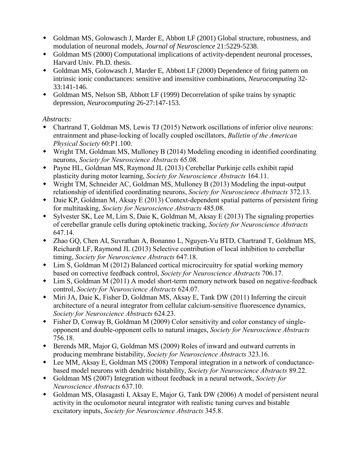- Goldman MS, Golowasch J, Marder E, Abbott LF (2001) Global structure, robustness, and modulation of neuronal models, *Journal of Neuroscience* 21:5229-5238.
- Goldman MS (2000) Computational implications of activity-dependent neuronal processes, Harvard Univ. Ph.D. thesis.
- Goldman MS, Golowasch J, Marder E, Abbott LF (2000) Dependence of firing pattern on intrinsic ionic conductances: sensitive and insensitive combinations, *Neurocomputing* 32- 33:141-146.
- Goldman MS, Nelson SB, Abbott LF (1999) Decorrelation of spike trains by synaptic depression, *Neurocomputing* 26-27:147-153.

## *Abstracts:*

- Chartrand T, Goldman MS, Lewis TJ (2015) Network oscillations of inferior olive neurons: entrainment and phase-locking of locally coupled oscillators, *Bulletin of the American Physical Society* 60:P1.100.
- Wright TM, Goldman MS, Mulloney B (2014) Modeling encoding in identified coordinating neurons, *Society for Neuroscience Abstracts* 65.08.
- Payne HL, Goldman MS, Raymond JL (2013) Cerebellar Purkinje cells exhibit rapid plasticity during motor learning, *Society for Neuroscience Abstracts* 164.11.
- Wright TM, Schneider AC, Goldman MS, Mulloney B (2013) Modeling the input-output relationship of identified coordinating neurons, *Society for Neuroscience Abstracts* 372.13.
- Daie KP, Goldman M, Aksay E (2013) Context-dependent spatial patterns of persistent firing for multitasking, *Society for Neuroscience Abstracts* 485.08.
- Sylvester SK, Lee M, Lim S, Daie K, Goldman M, Aksay E (2013) The signaling properties of cerebellar granule cells during optokinetic tracking, *Society for Neuroscience Abstracts*  647.14.
- Zhao GQ, Chen AI, Suvrathan A, Bonanno L, Nguyen-Vu BTD, Chartrand T, Goldman MS, Reichardt LF, Raymond JL (2013) Selective contribution of local inhibition to cerebellar timing, *Society for Neuroscience Abstracts* 647.18.
- Lim S, Goldman M (2012) Balanced cortical microcircuitry for spatial working memory based on corrective feedback control, *Society for Neuroscience Abstracts* 706.17.
- Lim S, Goldman M (2011) A model short-term memory network based on negative-feedback control, *Society for Neuroscience Abstracts* 624.07.
- Miri JA, Daie K, Fisher D, Goldman MS, Aksay E, Tank DW (2011) Inferring the circuit architecture of a neural integrator from cellular calcium-sensitive fluorescence dynamics, *Society for Neuroscience Abstracts* 624.23.
- Fisher D, Conway B, Goldman M (2009) Color sensitivity and color constancy of singleopponent and double-opponent cells to natural images, *Society for Neuroscience Abstracts*  756.18.
- Berends MR, Major G, Goldman MS (2009) Roles of inward and outward currents in producing membrane bistability, *Society for Neuroscience Abstracts* 323.16.
- Lee MM, Aksay E, Goldman MS (2008) Temporal integration in a network of conductancebased model neurons with dendritic bistability, *Society for Neuroscience Abstracts* 89.22.
- Goldman MS (2007) Integration without feedback in a neural network, *Society for Neuroscience Abstracts* 637.10.
- Goldman MS, Olasagasti I, Aksay E, Major G, Tank DW (2006) A model of persistent neural activity in the oculomotor neural integrator with realistic tuning curves and bistable excitatory inputs, *Society for Neuroscience Abstracts* 345.8.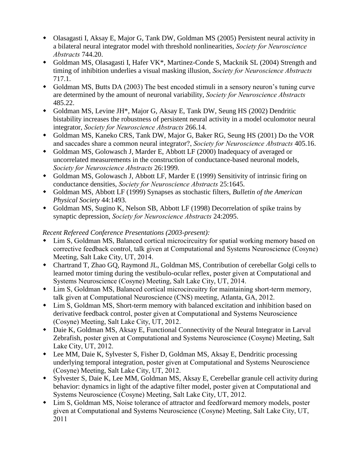- Olasagasti I, Aksay E, Major G, Tank DW, Goldman MS (2005) Persistent neural activity in a bilateral neural integrator model with threshold nonlinearities, *Society for Neuroscience Abstracts* 744.20.
- Goldman MS, Olasagasti I, Hafer VK\*, Martinez-Conde S, Macknik SL (2004) Strength and timing of inhibition underlies a visual masking illusion, *Society for Neuroscience Abstracts* 717.1.
- Goldman MS, Butts DA (2003) The best encoded stimuli in a sensory neuron's tuning curve are determined by the amount of neuronal variability, *Society for Neuroscience Abstracts* 485.22.
- Goldman MS, Levine JH\*, Major G, Aksay E, Tank DW, Seung HS (2002) Dendritic bistability increases the robustness of persistent neural activity in a model oculomotor neural integrator, *Society for Neuroscience Abstracts* 266.14.
- Goldman MS, Kaneko CRS, Tank DW, Major G, Baker RG, Seung HS (2001) Do the VOR and saccades share a common neural integrator?, *Society for Neuroscience Abstracts* 405.16.
- Goldman MS, Golowasch J, Marder E, Abbott LF (2000) Inadequacy of averaged or uncorrelated measurements in the construction of conductance-based neuronal models, *Society for Neuroscience Abstracts* 26:1999.
- Goldman MS, Golowasch J, Abbott LF, Marder E (1999) Sensitivity of intrinsic firing on conductance densities, *Society for Neuroscience Abstracts* 25:1645.
- Goldman MS, Abbott LF (1999) Synapses as stochastic filters, *Bulletin of the American Physical Society* 44:1493.
- Goldman MS, Sugino K, Nelson SB, Abbott LF (1998) Decorrelation of spike trains by synaptic depression, *Society for Neuroscience Abstracts* 24:2095.

## *Recent Refereed Conference Presentations (2003-present):*

- Lim S, Goldman MS, Balanced cortical microcircuitry for spatial working memory based on corrective feedback control, talk given at Computational and Systems Neuroscience (Cosyne) Meeting, Salt Lake City, UT, 2014.
- Chartrand T, Zhao GQ, Raymond JL, Goldman MS, Contribution of cerebellar Golgi cells to learned motor timing during the vestibulo-ocular reflex, poster given at Computational and Systems Neuroscience (Cosyne) Meeting, Salt Lake City, UT, 2014.
- Lim S, Goldman MS, Balanced cortical microcircuitry for maintaining short-term memory, talk given at Computational Neuroscience (CNS) meeting, Atlanta, GA, 2012.
- Lim S, Goldman MS, Short-term memory with balanced excitation and inhibition based on derivative feedback control, poster given at Computational and Systems Neuroscience (Cosyne) Meeting, Salt Lake City, UT, 2012.
- Daie K, Goldman MS, Aksay E, Functional Connectivity of the Neural Integrator in Larval Zebrafish, poster given at Computational and Systems Neuroscience (Cosyne) Meeting, Salt Lake City, UT, 2012.
- Lee MM, Daie K, Sylvester S, Fisher D, Goldman MS, Aksay E, Dendritic processing underlying temporal integration, poster given at Computational and Systems Neuroscience (Cosyne) Meeting, Salt Lake City, UT, 2012.
- Sylvester S, Daie K, Lee MM, Goldman MS, Aksay E, Cerebellar granule cell activity during behavior: dynamics in light of the adaptive filter model, poster given at Computational and Systems Neuroscience (Cosyne) Meeting, Salt Lake City, UT, 2012.
- Lim S, Goldman MS, Noise tolerance of attractor and feedforward memory models, poster given at Computational and Systems Neuroscience (Cosyne) Meeting, Salt Lake City, UT, 2011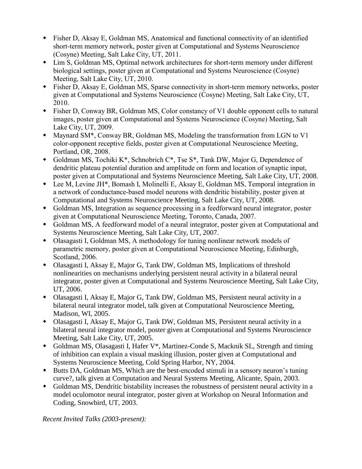- Fisher D, Aksay E, Goldman MS, Anatomical and functional connectivity of an identified short-term memory network, poster given at Computational and Systems Neuroscience (Cosyne) Meeting, Salt Lake City, UT, 2011.
- Lim S, Goldman MS, Optimal network architectures for short-term memory under different biological settings, poster given at Computational and Systems Neuroscience (Cosyne) Meeting, Salt Lake City, UT, 2010.
- Fisher D, Aksay E, Goldman MS, Sparse connectivity in short-term memory networks, poster given at Computational and Systems Neuroscience (Cosyne) Meeting, Salt Lake City, UT, 2010.
- Fisher D, Conway BR, Goldman MS, Color constancy of V1 double opponent cells to natural images, poster given at Computational and Systems Neuroscience (Cosyne) Meeting, Salt Lake City, UT, 2009.
- Maynard SM\*, Conway BR, Goldman MS, Modeling the transformation from LGN to V1 color-opponent receptive fields, poster given at Computational Neuroscience Meeting, Portland, OR, 2008.
- Goldman MS, Tochiki K\*, Schnobrich C\*, Tse S\*, Tank DW, Major G, Dependence of dendritic plateau potential duration and amplitude on form and location of synaptic input, poster given at Computational and Systems Neuroscience Meeting, Salt Lake City, UT, 2008.
- Lee M, Levine JH\*, Bomash I, Molinelli E, Aksay E, Goldman MS, Temporal integration in a network of conductance-based model neurons with dendritic bistability, poster given at Computational and Systems Neuroscience Meeting, Salt Lake City, UT, 2008.
- Goldman MS, Integration as sequence processing in a feedforward neural integrator, poster given at Computational Neuroscience Meeting, Toronto, Canada, 2007.
- Goldman MS, A feedforward model of a neural integrator, poster given at Computational and Systems Neuroscience Meeting, Salt Lake City, UT, 2007.
- Olasagasti I, Goldman MS, A methodology for tuning nonlinear network models of parametric memory, poster given at Computational Neuroscience Meeting, Edinburgh, Scotland, 2006.
- Olasagasti I, Aksay E, Major G, Tank DW, Goldman MS, Implications of threshold nonlinearities on mechanisms underlying persistent neural activity in a bilateral neural integrator, poster given at Computational and Systems Neuroscience Meeting, Salt Lake City, UT, 2006.
- Olasagasti I, Aksay E, Major G, Tank DW, Goldman MS, Persistent neural activity in a bilateral neural integrator model, talk given at Computational Neuroscience Meeting, Madison, WI, 2005.
- Olasagasti I, Aksay E, Major G, Tank DW, Goldman MS, Persistent neural activity in a bilateral neural integrator model, poster given at Computational and Systems Neuroscience Meeting, Salt Lake City, UT, 2005.
- Goldman MS, Olasagasti I, Hafer V\*, Martinez-Conde S, Macknik SL, Strength and timing of inhibition can explain a visual masking illusion, poster given at Computational and Systems Neuroscience Meeting, Cold Spring Harbor, NY, 2004.
- Butts DA, Goldman MS, Which are the best-encoded stimuli in a sensory neuron's tuning curve?, talk given at Computation and Neural Systems Meeting, Alicante, Spain, 2003.
- Goldman MS, Dendritic bistability increases the robustness of persistent neural activity in a model oculomotor neural integrator, poster given at Workshop on Neural Information and Coding, Snowbird, UT, 2003.

*Recent Invited Talks (2003-present):*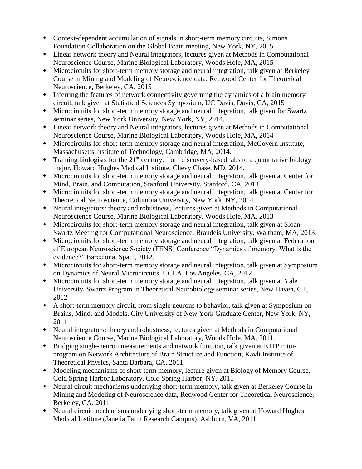- Context-dependent accumulation of signals in short-term memory circuits, Simons Foundation Collaboration on the Global Brain meeting, New York, NY, 2015
- Linear network theory and Neural integrators, lectures given at Methods in Computational Neuroscience Course, Marine Biological Laboratory, Woods Hole, MA, 2015
- Microcircuits for short-term memory storage and neural integration, talk given at Berkeley Course in Mining and Modeling of Neuroscience data, Redwood Center for Theoretical Neuroscience, Berkeley, CA, 2015
- Inferring the features of network connectivity governing the dynamics of a brain memory circuit, talk given at Statistical Sciences Symposium, UC Davis, Davis, CA, 2015
- Microcircuits for short-term memory storage and neural integration, talk given for Swartz seminar series, New York University, New York, NY, 2014.
- Linear network theory and Neural integrators, lectures given at Methods in Computational Neuroscience Course, Marine Biological Laboratory, Woods Hole, MA, 2014
- Microcircuits for short-term memory storage and neural integration, McGovern Institute, Massachusetts Institute of Technology, Cambridge, MA, 2014.
- $\bullet$  Training biologists for the 21<sup>st</sup> century: from discovery-based labs to a quantitative biology major, Howard Hughes Medical Institute, Chevy Chase, MD, 2014.
- Microcircuits for short-term memory storage and neural integration, talk given at Center for Mind, Brain, and Computation, Stanford University, Stanford, CA, 2014.
- Microcircuits for short-term memory storage and neural integration, talk given at Center for Theoretical Neuroscience, Columbia University, New York, NY, 2014.
- Neural integrators: theory and robustness, lectures given at Methods in Computational Neuroscience Course, Marine Biological Laboratory, Woods Hole, MA, 2013
- Microcircuits for short-term memory storage and neural integration, talk given at Sloan-Swartz Meeting for Computational Neuroscience, Brandeis University, Waltham, MA, 2013.
- Microcircuits for short-term memory storage and neural integration, talk given at Federation of European Neuroscience Society (FENS) Conference "Dynamics of memory: What is the evidence?" Barcelona, Spain, 2012.
- Microcircuits for short-term memory storage and neural integration, talk given at Symposium on Dynamics of Neural Microcircuits, UCLA, Los Angeles, CA, 2012
- Microcircuits for short-term memory storage and neural integration, talk given at Yale University, Swartz Program in Theoretical Neurobiology seminar series, New Haven, CT, 2012
- A short-term memory circuit, from single neurons to behavior, talk given at Symposium on Brains, Mind, and Models, City University of New York Graduate Center, New York, NY, 2011
- Neural integrators: theory and robustness, lectures given at Methods in Computational Neuroscience Course, Marine Biological Laboratory, Woods Hole, MA, 2011.
- Bridging single-neuron measurements and network function, talk given at KITP miniprogram on Network Architecture of Brain Structure and Function, Kavli Institute of Theoretical Physics, Santa Barbara, CA, 2011
- Modeling mechanisms of short-term memory, lecture given at Biology of Memory Course, Cold Spring Harbor Laboratory, Cold Spring Harbor, NY, 2011
- Neural circuit mechanisms underlying short-term memory, talk given at Berkeley Course in Mining and Modeling of Neuroscience data, Redwood Center for Theoretical Neuroscience, Berkeley, CA, 2011
- Neural circuit mechanisms underlying short-term memory, talk given at Howard Hughes Medical Institute (Janelia Farm Research Campus), Ashburn, VA, 2011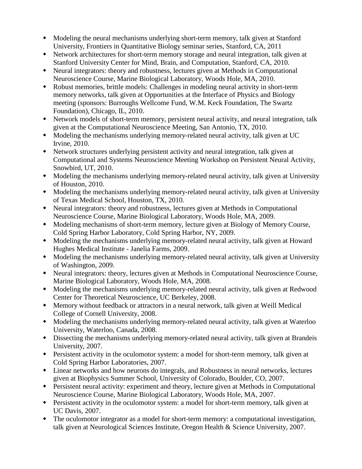- Modeling the neural mechanisms underlying short-term memory, talk given at Stanford University, Frontiers in Quantitative Biology seminar series, Stanford, CA, 2011
- Network architectures for short-term memory storage and neural integration, talk given at Stanford University Center for Mind, Brain, and Computation, Stanford, CA, 2010.
- Neural integrators: theory and robustness, lectures given at Methods in Computational Neuroscience Course, Marine Biological Laboratory, Woods Hole, MA, 2010.
- Robust memories, brittle models: Challenges in modeling neural activity in short-term memory networks, talk given at Opportunities at the Interface of Physics and Biology meeting (sponsors: Burroughs Wellcome Fund, W.M. Keck Foundation, The Swartz Foundation), Chicago, IL, 2010.
- Network models of short-term memory, persistent neural activity, and neural integration, talk given at the Computational Neuroscience Meeting, San Antonio, TX, 2010.
- Modeling the mechanisms underlying memory-related neural activity, talk given at UC Irvine, 2010.
- Network structures underlying persistent activity and neural integration, talk given at Computational and Systems Neuroscience Meeting Workshop on Persistent Neural Activity, Snowbird, UT, 2010.
- Modeling the mechanisms underlying memory-related neural activity, talk given at University of Houston, 2010.
- Modeling the mechanisms underlying memory-related neural activity, talk given at University of Texas Medical School, Houston, TX, 2010.
- Neural integrators: theory and robustness, lectures given at Methods in Computational Neuroscience Course, Marine Biological Laboratory, Woods Hole, MA, 2009.
- Modeling mechanisms of short-term memory, lecture given at Biology of Memory Course, Cold Spring Harbor Laboratory, Cold Spring Harbor, NY, 2009.
- Modeling the mechanisms underlying memory-related neural activity, talk given at Howard Hughes Medical Institute - Janelia Farms, 2009.
- Modeling the mechanisms underlying memory-related neural activity, talk given at University of Washington, 2009.
- Neural integrators: theory, lectures given at Methods in Computational Neuroscience Course, Marine Biological Laboratory, Woods Hole, MA, 2008.
- Modeling the mechanisms underlying memory-related neural activity, talk given at Redwood Center for Theoretical Neuroscience, UC Berkeley, 2008.
- Memory without feedback or attractors in a neural network, talk given at Weill Medical College of Cornell University, 2008.
- Modeling the mechanisms underlying memory-related neural activity, talk given at Waterloo University, Waterloo, Canada, 2008.
- Dissecting the mechanisms underlying memory-related neural activity, talk given at Brandeis University, 2007.
- Persistent activity in the oculomotor system: a model for short-term memory, talk given at Cold Spring Harbor Laboratories, 2007.
- Linear networks and how neurons do integrals, and Robustness in neural networks, lectures given at Biophysics Summer School, University of Colorado, Boulder, CO, 2007.
- Persistent neural activity: experiment and theory, lecture given at Methods in Computational Neuroscience Course, Marine Biological Laboratory, Woods Hole, MA, 2007.
- Persistent activity in the oculomotor system: a model for short-term memory, talk given at UC Davis, 2007.
- The oculomotor integrator as a model for short-term memory: a computational investigation, talk given at Neurological Sciences Institute, Oregon Health & Science University, 2007.